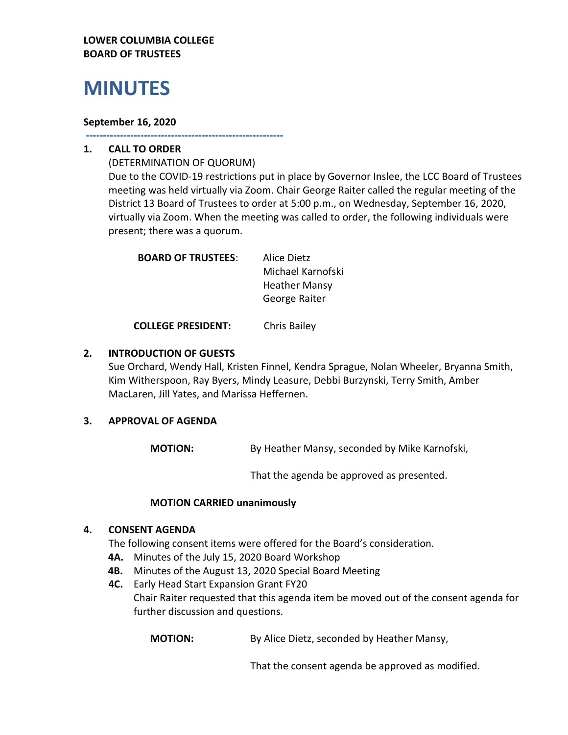#### **LOWER COLUMBIA COLLEGE BOARD OF TRUSTEES**

# **MINUTES**

#### **September 16, 2020**

**----------------------------------------------------------**

## **1. CALL TO ORDER**

(DETERMINATION OF QUORUM) Due to the COVID-19 restrictions put in place by Governor Inslee, the LCC Board of Trustees meeting was held virtually via Zoom. Chair George Raiter called the regular meeting of the District 13 Board of Trustees to order at 5:00 p.m., on Wednesday, September 16, 2020, virtually via Zoom. When the meeting was called to order, the following individuals were present; there was a quorum.

| <b>BOARD OF TRUSTEES:</b> | Alice Dietz          |
|---------------------------|----------------------|
|                           | Michael Karnofski    |
|                           | <b>Heather Mansy</b> |
|                           | George Raiter        |
|                           |                      |

**COLLEGE PRESIDENT:** Chris Bailey

#### **2. INTRODUCTION OF GUESTS**

Sue Orchard, Wendy Hall, Kristen Finnel, Kendra Sprague, Nolan Wheeler, Bryanna Smith, Kim Witherspoon, Ray Byers, Mindy Leasure, Debbi Burzynski, Terry Smith, Amber MacLaren, Jill Yates, and Marissa Heffernen.

## **3. APPROVAL OF AGENDA**

**MOTION:** By Heather Mansy, seconded by Mike Karnofski,

That the agenda be approved as presented.

## **MOTION CARRIED unanimously**

## **4. CONSENT AGENDA**

The following consent items were offered for the Board's consideration.

- **4A.** Minutes of the July 15, 2020 Board Workshop
- **4B.** Minutes of the August 13, 2020 Special Board Meeting
- **4C.** Early Head Start Expansion Grant FY20 Chair Raiter requested that this agenda item be moved out of the consent agenda for further discussion and questions.

**MOTION:** By Alice Dietz, seconded by Heather Mansy,

That the consent agenda be approved as modified.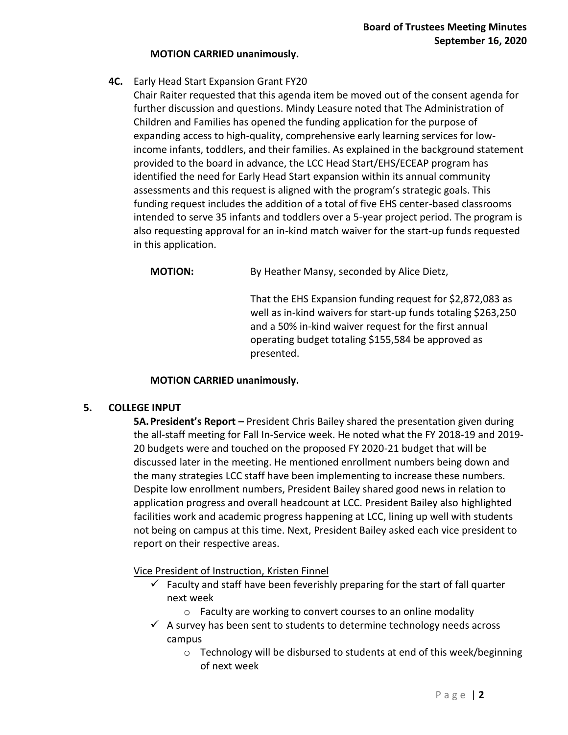#### **MOTION CARRIED unanimously.**

- **4C.** Early Head Start Expansion Grant FY20
	- Chair Raiter requested that this agenda item be moved out of the consent agenda for further discussion and questions. Mindy Leasure noted that The Administration of Children and Families has opened the funding application for the purpose of expanding access to high-quality, comprehensive early learning services for lowincome infants, toddlers, and their families. As explained in the background statement provided to the board in advance, the LCC Head Start/EHS/ECEAP program has identified the need for Early Head Start expansion within its annual community assessments and this request is aligned with the program's strategic goals. This funding request includes the addition of a total of five EHS center-based classrooms intended to serve 35 infants and toddlers over a 5-year project period. The program is also requesting approval for an in-kind match waiver for the start-up funds requested in this application.

**MOTION:** By Heather Mansy, seconded by Alice Dietz,

That the EHS Expansion funding request for \$2,872,083 as well as in-kind waivers for start-up funds totaling \$263,250 and a 50% in-kind waiver request for the first annual operating budget totaling \$155,584 be approved as presented.

#### **MOTION CARRIED unanimously.**

#### **5. COLLEGE INPUT**

**5A.President's Report –** President Chris Bailey shared the presentation given during the all-staff meeting for Fall In-Service week. He noted what the FY 2018-19 and 2019- 20 budgets were and touched on the proposed FY 2020-21 budget that will be discussed later in the meeting. He mentioned enrollment numbers being down and the many strategies LCC staff have been implementing to increase these numbers. Despite low enrollment numbers, President Bailey shared good news in relation to application progress and overall headcount at LCC. President Bailey also highlighted facilities work and academic progress happening at LCC, lining up well with students not being on campus at this time. Next, President Bailey asked each vice president to report on their respective areas.

#### Vice President of Instruction, Kristen Finnel

- $\checkmark$  Faculty and staff have been feverishly preparing for the start of fall quarter next week
	- o Faculty are working to convert courses to an online modality
- $\checkmark$  A survey has been sent to students to determine technology needs across campus
	- o Technology will be disbursed to students at end of this week/beginning of next week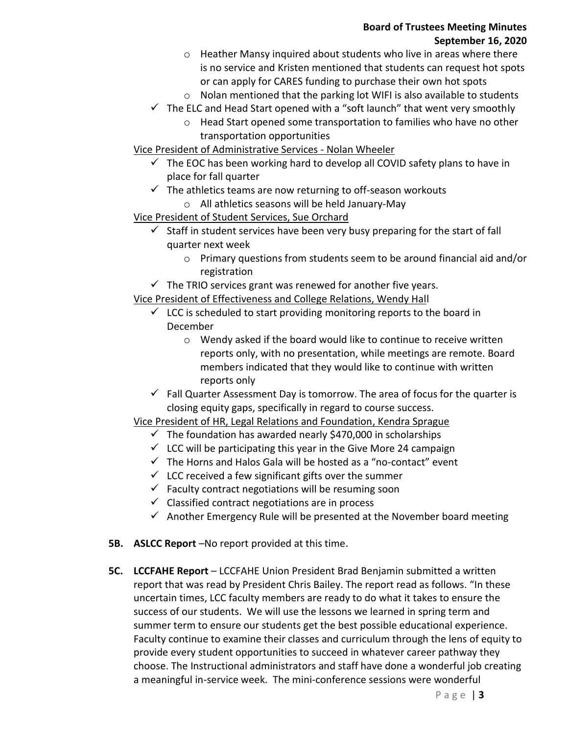#### **Board of Trustees Meeting Minutes September 16, 2020**

- $\circ$  Heather Mansy inquired about students who live in areas where there is no service and Kristen mentioned that students can request hot spots or can apply for CARES funding to purchase their own hot spots
- $\circ$  Nolan mentioned that the parking lot WIFI is also available to students
- $\checkmark$  The ELC and Head Start opened with a "soft launch" that went very smoothly
	- o Head Start opened some transportation to families who have no other transportation opportunities

## Vice President of Administrative Services - Nolan Wheeler

- $\checkmark$  The EOC has been working hard to develop all COVID safety plans to have in place for fall quarter
- $\checkmark$  The athletics teams are now returning to off-season workouts
	- o All athletics seasons will be held January-May

## Vice President of Student Services, Sue Orchard

- Staff in student services have been very busy preparing for the start of fall quarter next week
	- o Primary questions from students seem to be around financial aid and/or registration
- $\checkmark$  The TRIO services grant was renewed for another five years.

Vice President of Effectiveness and College Relations, Wendy Hall

- $\checkmark$  LCC is scheduled to start providing monitoring reports to the board in December
	- o Wendy asked if the board would like to continue to receive written reports only, with no presentation, while meetings are remote. Board members indicated that they would like to continue with written reports only
- $\checkmark$  Fall Quarter Assessment Day is tomorrow. The area of focus for the quarter is closing equity gaps, specifically in regard to course success.

## Vice President of HR, Legal Relations and Foundation, Kendra Sprague

- $\checkmark$  The foundation has awarded nearly \$470,000 in scholarships
- $\checkmark$  LCC will be participating this year in the Give More 24 campaign
- $\checkmark$  The Horns and Halos Gala will be hosted as a "no-contact" event
- $\checkmark$  LCC received a few significant gifts over the summer
- $\checkmark$  Faculty contract negotiations will be resuming soon
- $\checkmark$  Classified contract negotiations are in process
- $\checkmark$  Another Emergency Rule will be presented at the November board meeting
- **5B. ASLCC Report** –No report provided at this time.
- **5C. LCCFAHE Report** LCCFAHE Union President Brad Benjamin submitted a written report that was read by President Chris Bailey. The report read as follows. "In these uncertain times, LCC faculty members are ready to do what it takes to ensure the success of our students. We will use the lessons we learned in spring term and summer term to ensure our students get the best possible educational experience. Faculty continue to examine their classes and curriculum through the lens of equity to provide every student opportunities to succeed in whatever career pathway they choose. The Instructional administrators and staff have done a wonderful job creating a meaningful in-service week. The mini-conference sessions were wonderful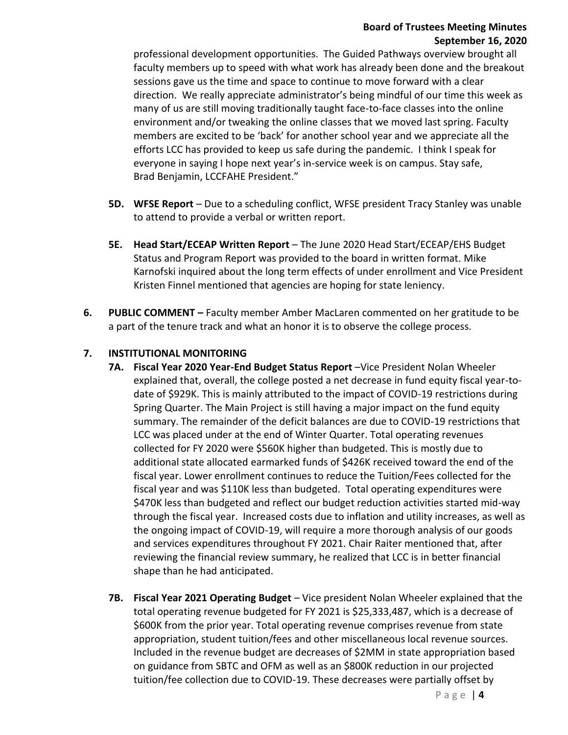#### **Board of Trustees Meeting Minutes September 16, 2020**

professional development opportunities. The Guided Pathways overview brought all faculty members up to speed with what work has already been done and the breakout sessions gave us the time and space to continue to move forward with a clear direction. We really appreciate administrator's being mindful of our time this week as many of us are still moving traditionally taught face-to-face classes into the online environment and/or tweaking the online classes that we moved last spring. Faculty members are excited to be 'back' for another school year and we appreciate all the efforts LCC has provided to keep us safe during the pandemic. I think I speak for everyone in saying I hope next year's in-service week is on campus. Stay safe, Brad Benjamin, LCCFAHE President."

- **5D. WFSE Report** Due to a scheduling conflict, WFSE president Tracy Stanley was unable to attend to provide a verbal or written report.
- **5E. Head Start/ECEAP Written Report** The June 2020 Head Start/ECEAP/EHS Budget Status and Program Report was provided to the board in written format. Mike Karnofski inquired about the long term effects of under enrollment and Vice President Kristen Finnel mentioned that agencies are hoping for state leniency.
- **6. PUBLIC COMMENT –** Faculty member Amber MacLaren commented on her gratitude to be a part of the tenure track and what an honor it is to observe the college process.

## **7. INSTITUTIONAL MONITORING**

- **7A. Fiscal Year 2020 Year-End Budget Status Report** –Vice President Nolan Wheeler explained that, overall, the college posted a net decrease in fund equity fiscal year-todate of \$929K. This is mainly attributed to the impact of COVID-19 restrictions during Spring Quarter. The Main Project is still having a major impact on the fund equity summary. The remainder of the deficit balances are due to COVID-19 restrictions that LCC was placed under at the end of Winter Quarter. Total operating revenues collected for FY 2020 were \$560K higher than budgeted. This is mostly due to additional state allocated earmarked funds of \$426K received toward the end of the fiscal year. Lower enrollment continues to reduce the Tuition/Fees collected for the fiscal year and was \$110K less than budgeted. Total operating expenditures were \$470K less than budgeted and reflect our budget reduction activities started mid-way through the fiscal year. Increased costs due to inflation and utility increases, as well as the ongoing impact of COVID-19, will require a more thorough analysis of our goods and services expenditures throughout FY 2021. Chair Raiter mentioned that, after reviewing the financial review summary, he realized that LCC is in better financial shape than he had anticipated.
- **7B. Fiscal Year 2021 Operating Budget** Vice president Nolan Wheeler explained that the total operating revenue budgeted for FY 2021 is \$25,333,487, which is a decrease of \$600K from the prior year. Total operating revenue comprises revenue from state appropriation, student tuition/fees and other miscellaneous local revenue sources. Included in the revenue budget are decreases of \$2MM in state appropriation based on guidance from SBTC and OFM as well as an \$800K reduction in our projected tuition/fee collection due to COVID-19. These decreases were partially offset by